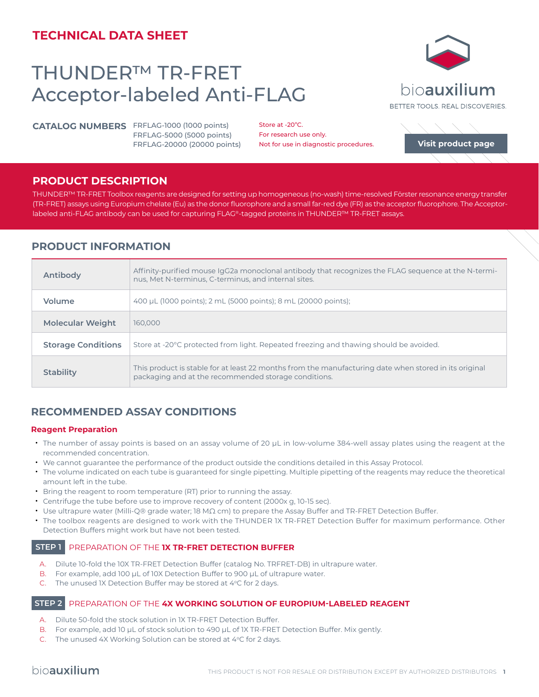# **TECHNICAL DATA SHEET**

# THUNDER™ TR-FRET Acceptor-labeled Anti-FLAG

**CATALOG NUMBERS** FRFLAG-1000 (1000 points) FRFLAG-5000 (5000 points) FRFLAG-20000 (20000 points)

Store at -20°C. For research use only. Not for use in diagnostic procedures.

### **PRODUCT DESCRIPTION**

THUNDER™ TR-FRET Toolbox reagents are designed for setting up homogeneous (no-wash) time-resolved Förster resonance energy transfer (TR-FRET) assays using Europium chelate (Eu) as the donor fluorophore and a small far-red dye (FR) as the acceptor fluorophore. The Acceptorlabeled anti-FLAG antibody can be used for capturing FLAG®-tagged proteins in THUNDER™ TR-FRET assays.

# **PRODUCT INFORMATION**

| Antibody                  | Affinity-purified mouse IgG2a monoclonal antibody that recognizes the FLAG sequence at the N-termi-<br>nus, Met N-terminus, C-terminus, and internal sites.   |
|---------------------------|---------------------------------------------------------------------------------------------------------------------------------------------------------------|
| Volume                    | 400 µL (1000 points); 2 mL (5000 points); 8 mL (20000 points);                                                                                                |
| <b>Molecular Weight</b>   | 160,000                                                                                                                                                       |
| <b>Storage Conditions</b> | Store at -20 <sup>°</sup> C protected from light. Repeated freezing and thawing should be avoided.                                                            |
| <b>Stability</b>          | This product is stable for at least 22 months from the manufacturing date when stored in its original<br>packaging and at the recommended storage conditions. |

# **RECOMMENDED ASSAY CONDITIONS**

#### **Reagent Preparation**

- The number of assay points is based on an assay volume of 20 μL in low-volume 384-well assay plates using the reagent at the recommended concentration.
- We cannot guarantee the performance of the product outside the conditions detailed in this Assay Protocol.
- The volume indicated on each tube is guaranteed for single pipetting. Multiple pipetting of the reagents may reduce the theoretical amount left in the tube.
- Bring the reagent to room temperature (RT) prior to running the assay.
- Centrifuge the tube before use to improve recovery of content (2000x g, 10-15 sec).
- Use ultrapure water (Milli-Q® grade water; 18 MΩ cm) to prepare the Assay Buffer and TR-FRET Detection Buffer.
- The toolbox reagents are designed to work with the THUNDER 1X TR-FRET Detection Buffer for maximum performance. Other Detection Buffers might work but have not been tested.

## **STEP 1** PREPARATION OF THE **1X TR-FRET DETECTION BUFFER**

- A. Dilute 10-fold the 10X TR-FRET Detection Buffer (catalog No. TRFRET-DB) in ultrapure water.
- B. For example, add 100 µL of 10X Detection Buffer to 900 µL of ultrapure water.
- C. The unused IX Detection Buffer may be stored at  $4^{\circ}$ C for 2 days.

#### **STEP 2** PREPARATION OF THE **4X WORKING SOLUTION OF EUROPIUM-LABELED REAGENT**

- A. Dilute 50-fold the stock solution in 1X TR-FRET Detection Buffer.
- B. For example, add 10 µL of stock solution to 490 µL of 1X TR-FRET Detection Buffer. Mix gently.
- C. The unused 4X Working Solution can be stored at 4°C for 2 days.



**[Visit product page](https://bioauxilium.com/product/thunder-tr-fret-acceptor-labeled-anti-flag/)**

BETTER TOOLS, REAL DISCOVERIES.